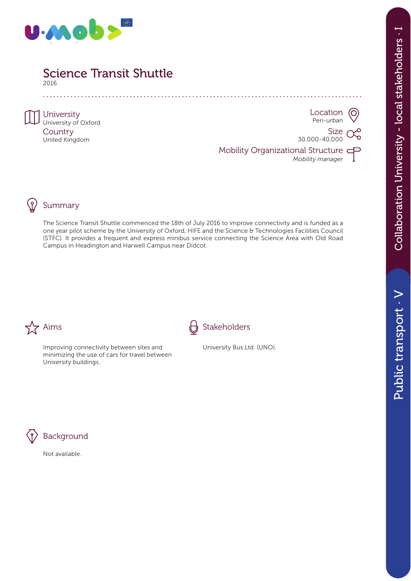

2016 a a a a a a

**University** University of Oxford **Country** United Kingdom

Location  $\left(\bigcirc\right)$ Peri-urban

Size 30,000-40,000

Mobility Organizational Structure *Mobility manager*





### Summary

The Science Transit Shuttle commenced the 18th of July 2016 to improve connectivity and is funded as a one year pilot scheme by the University of Oxford, HIFE and the Science & Technologies Facilities Council (STFC). It provides a frequent and express minibus service connecting the Science Area with Old Road Campus in Headington and Harwell Campus near Didcot.



Improving connectivity between sites and minimizing the use of cars for travel between University buildings.



University Bus Ltd. (UNO).



## **Background**

Not available.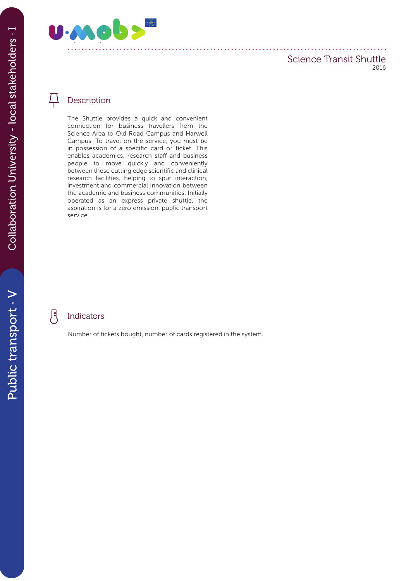

### Description

The Shuttle provides a quick and convenient connection for business travellers from the Science Area to Old Road Campus and Harwell Campus. To travel on the service, you must be in possession of a specific card or ticket. This enables academics, research staff and business people to move quickly and conveniently between these cutting edge scientific and clinical research facilities, helping to spur interaction, investment and commercial innovation between the academic and business communities. Initially operated as an express private shuttle, the aspiration is for a zero emission, public transport service.

#### 月 Indicators

Number of tickets bought, number of cards registered in the system.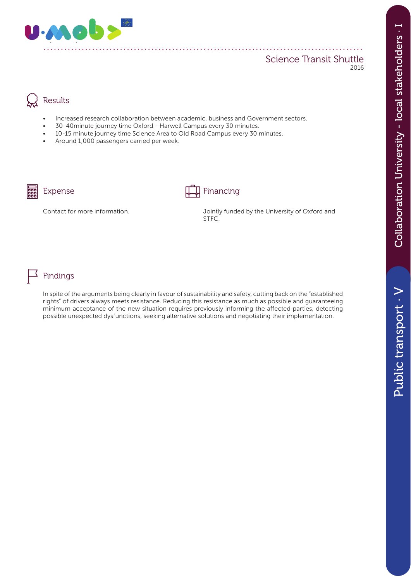

### Results

• Increased research collaboration between academic, business and Government sectors.

. . . . . . . . . . . . .

- 30-40minute journey time Oxford Harwell Campus every 30 minutes.
- 10-15 minute journey time Science Area to Old Road Campus every 30 minutes.
- Around 1,000 passengers carried per week.



### Expense Financing

Contact for more information. Jointly funded by the University of Oxford and STFC.



In spite of the arguments being clearly in favour of sustainability and safety, cutting back on the "established rights" of drivers always meets resistance. Reducing this resistance as much as possible and guaranteeing minimum acceptance of the new situation requires previously informing the affected parties, detecting possible unexpected dysfunctions, seeking alternative solutions and negotiating their implementation.